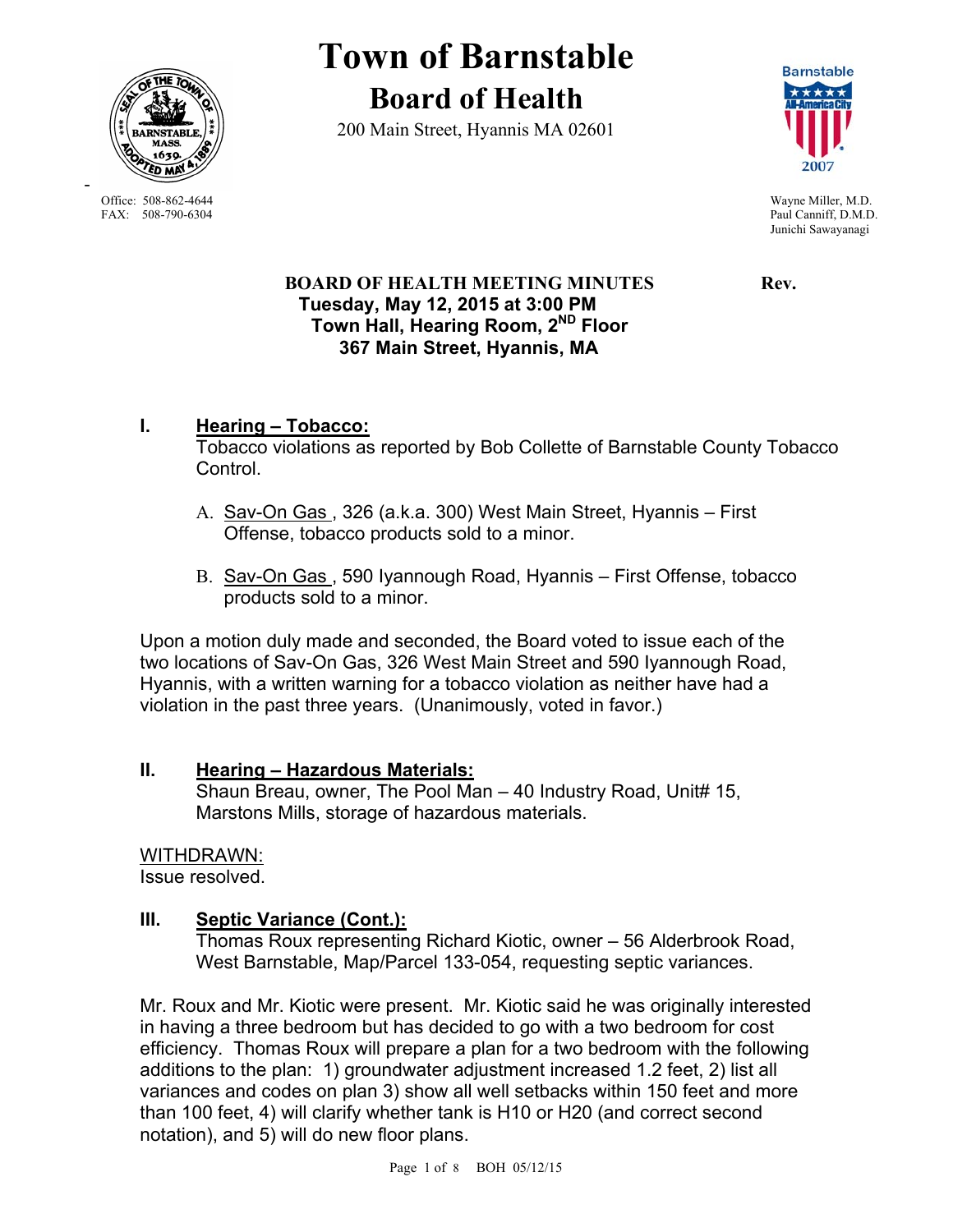

-

**Town of Barnstable Board of Health**

200 Main Street, Hyannis MA 02601



Office: 508-862-4644 Wayne Miller, M.D.<br>
FAX: 508-790-6304 Paul Canniff. D.M.D Paul Canniff, D.M.D. Junichi Sawayanagi

## **BOARD OF HEALTH MEETING MINUTES Rev. Tuesday, May 12, 2015 at 3:00 PM Town Hall, Hearing Room, 2ND Floor 367 Main Street, Hyannis, MA**

#### **I. Hearing – Tobacco:** Tobacco violations as reported by Bob Collette of Barnstable County Tobacco Control.

- A. Sav-On Gas , 326 (a.k.a. 300) West Main Street, Hyannis First Offense, tobacco products sold to a minor.
- B. Sav-On Gas , 590 Iyannough Road, Hyannis First Offense, tobacco products sold to a minor.

Upon a motion duly made and seconded, the Board voted to issue each of the two locations of Sav-On Gas, 326 West Main Street and 590 Iyannough Road, Hyannis, with a written warning for a tobacco violation as neither have had a violation in the past three years. (Unanimously, voted in favor.)

## **II. Hearing – Hazardous Materials:**

Shaun Breau, owner, The Pool Man – 40 Industry Road, Unit# 15, Marstons Mills, storage of hazardous materials.

## WITHDRAWN:

Issue resolved.

# **III. Septic Variance (Cont.):**

Thomas Roux representing Richard Kiotic, owner – 56 Alderbrook Road, West Barnstable, Map/Parcel 133-054, requesting septic variances.

Mr. Roux and Mr. Kiotic were present. Mr. Kiotic said he was originally interested in having a three bedroom but has decided to go with a two bedroom for cost efficiency. Thomas Roux will prepare a plan for a two bedroom with the following additions to the plan: 1) groundwater adjustment increased 1.2 feet, 2) list all variances and codes on plan 3) show all well setbacks within 150 feet and more than 100 feet, 4) will clarify whether tank is H10 or H20 (and correct second notation), and 5) will do new floor plans.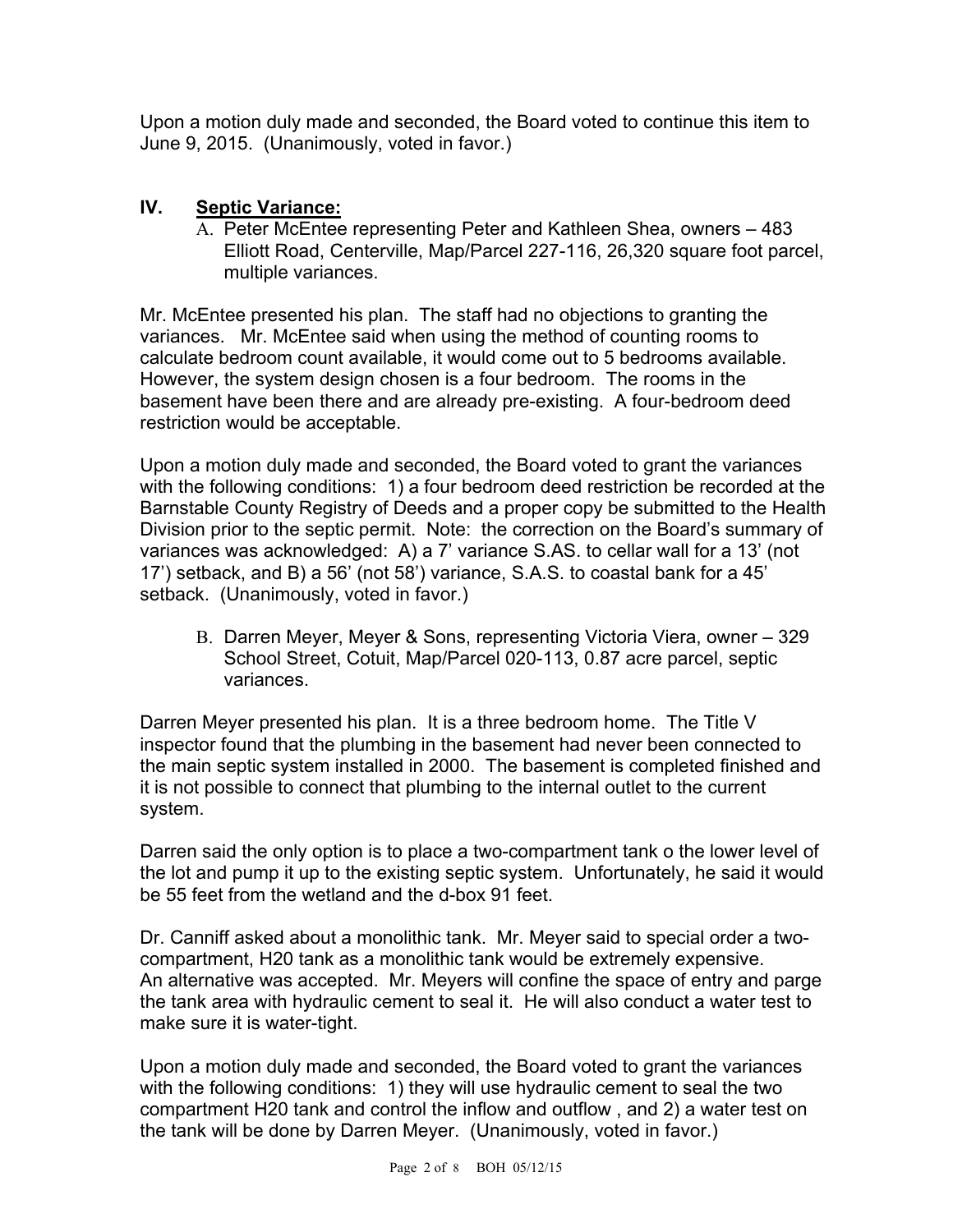Upon a motion duly made and seconded, the Board voted to continue this item to June 9, 2015. (Unanimously, voted in favor.)

# **IV. Septic Variance:**

A. Peter McEntee representing Peter and Kathleen Shea, owners – 483 Elliott Road, Centerville, Map/Parcel 227-116, 26,320 square foot parcel, multiple variances.

Mr. McEntee presented his plan. The staff had no objections to granting the variances. Mr. McEntee said when using the method of counting rooms to calculate bedroom count available, it would come out to 5 bedrooms available. However, the system design chosen is a four bedroom. The rooms in the basement have been there and are already pre-existing. A four-bedroom deed restriction would be acceptable.

Upon a motion duly made and seconded, the Board voted to grant the variances with the following conditions: 1) a four bedroom deed restriction be recorded at the Barnstable County Registry of Deeds and a proper copy be submitted to the Health Division prior to the septic permit. Note: the correction on the Board's summary of variances was acknowledged: A) a 7' variance S.AS. to cellar wall for a 13' (not 17') setback, and B) a 56' (not 58') variance, S.A.S. to coastal bank for a 45' setback. (Unanimously, voted in favor.)

B. Darren Meyer, Meyer & Sons, representing Victoria Viera, owner – 329 School Street, Cotuit, Map/Parcel 020-113, 0.87 acre parcel, septic variances.

Darren Meyer presented his plan. It is a three bedroom home. The Title V inspector found that the plumbing in the basement had never been connected to the main septic system installed in 2000. The basement is completed finished and it is not possible to connect that plumbing to the internal outlet to the current system.

Darren said the only option is to place a two-compartment tank o the lower level of the lot and pump it up to the existing septic system. Unfortunately, he said it would be 55 feet from the wetland and the d-box 91 feet.

Dr. Canniff asked about a monolithic tank. Mr. Meyer said to special order a twocompartment, H20 tank as a monolithic tank would be extremely expensive. An alternative was accepted. Mr. Meyers will confine the space of entry and parge the tank area with hydraulic cement to seal it. He will also conduct a water test to make sure it is water-tight.

Upon a motion duly made and seconded, the Board voted to grant the variances with the following conditions: 1) they will use hydraulic cement to seal the two compartment H20 tank and control the inflow and outflow , and 2) a water test on the tank will be done by Darren Meyer. (Unanimously, voted in favor.)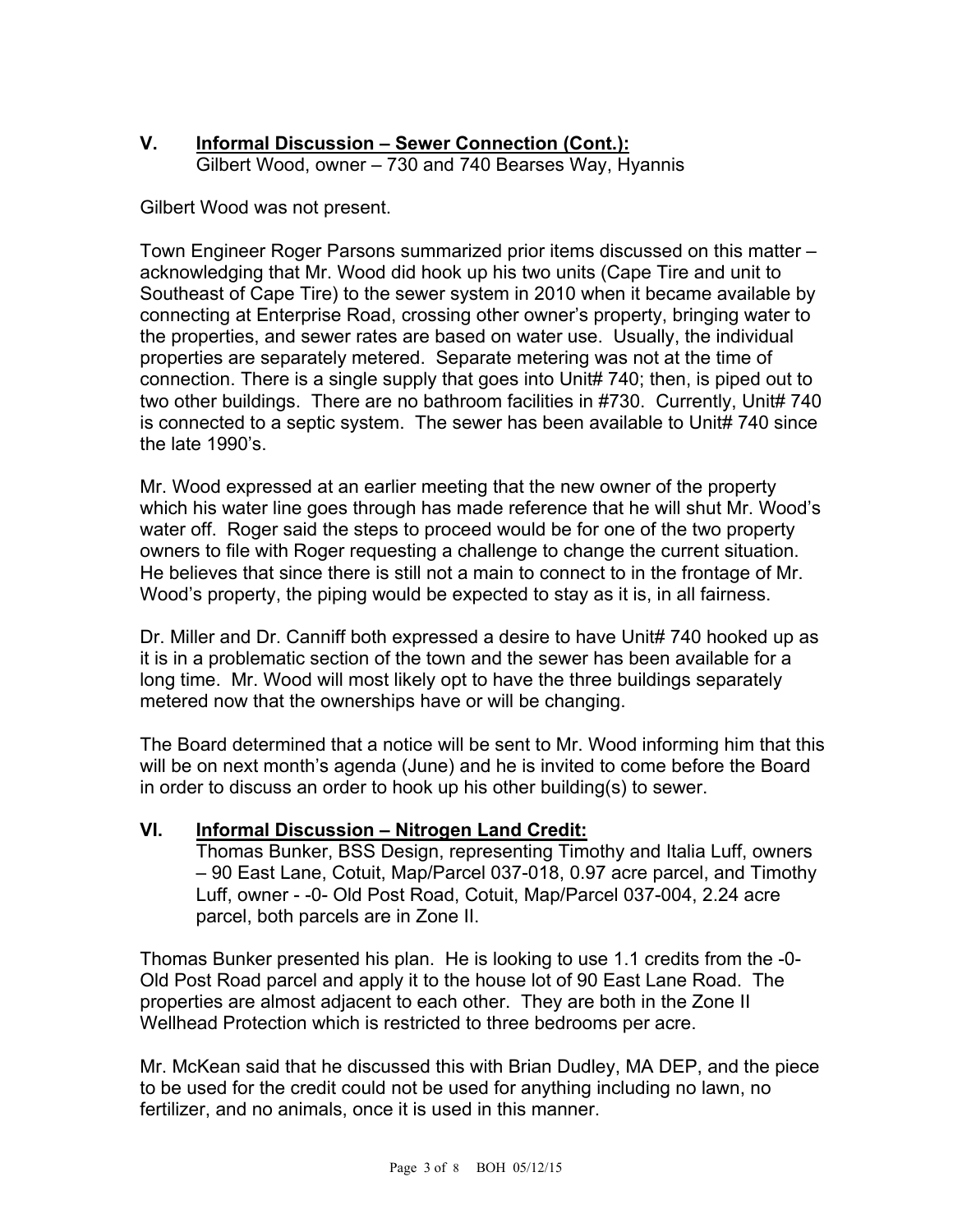## **V. Informal Discussion – Sewer Connection (Cont.):**  Gilbert Wood, owner – 730 and 740 Bearses Way, Hyannis

Gilbert Wood was not present.

Town Engineer Roger Parsons summarized prior items discussed on this matter – acknowledging that Mr. Wood did hook up his two units (Cape Tire and unit to Southeast of Cape Tire) to the sewer system in 2010 when it became available by connecting at Enterprise Road, crossing other owner's property, bringing water to the properties, and sewer rates are based on water use. Usually, the individual properties are separately metered. Separate metering was not at the time of connection. There is a single supply that goes into Unit# 740; then, is piped out to two other buildings. There are no bathroom facilities in #730. Currently, Unit# 740 is connected to a septic system. The sewer has been available to Unit# 740 since the late 1990's.

Mr. Wood expressed at an earlier meeting that the new owner of the property which his water line goes through has made reference that he will shut Mr. Wood's water off. Roger said the steps to proceed would be for one of the two property owners to file with Roger requesting a challenge to change the current situation. He believes that since there is still not a main to connect to in the frontage of Mr. Wood's property, the piping would be expected to stay as it is, in all fairness.

Dr. Miller and Dr. Canniff both expressed a desire to have Unit# 740 hooked up as it is in a problematic section of the town and the sewer has been available for a long time. Mr. Wood will most likely opt to have the three buildings separately metered now that the ownerships have or will be changing.

The Board determined that a notice will be sent to Mr. Wood informing him that this will be on next month's agenda (June) and he is invited to come before the Board in order to discuss an order to hook up his other building(s) to sewer.

## **VI. Informal Discussion – Nitrogen Land Credit:**

Thomas Bunker, BSS Design, representing Timothy and Italia Luff, owners – 90 East Lane, Cotuit, Map/Parcel 037-018, 0.97 acre parcel, and Timothy Luff, owner - -0- Old Post Road, Cotuit, Map/Parcel 037-004, 2.24 acre parcel, both parcels are in Zone II.

Thomas Bunker presented his plan. He is looking to use 1.1 credits from the -0- Old Post Road parcel and apply it to the house lot of 90 East Lane Road. The properties are almost adjacent to each other. They are both in the Zone II Wellhead Protection which is restricted to three bedrooms per acre.

Mr. McKean said that he discussed this with Brian Dudley, MA DEP, and the piece to be used for the credit could not be used for anything including no lawn, no fertilizer, and no animals, once it is used in this manner.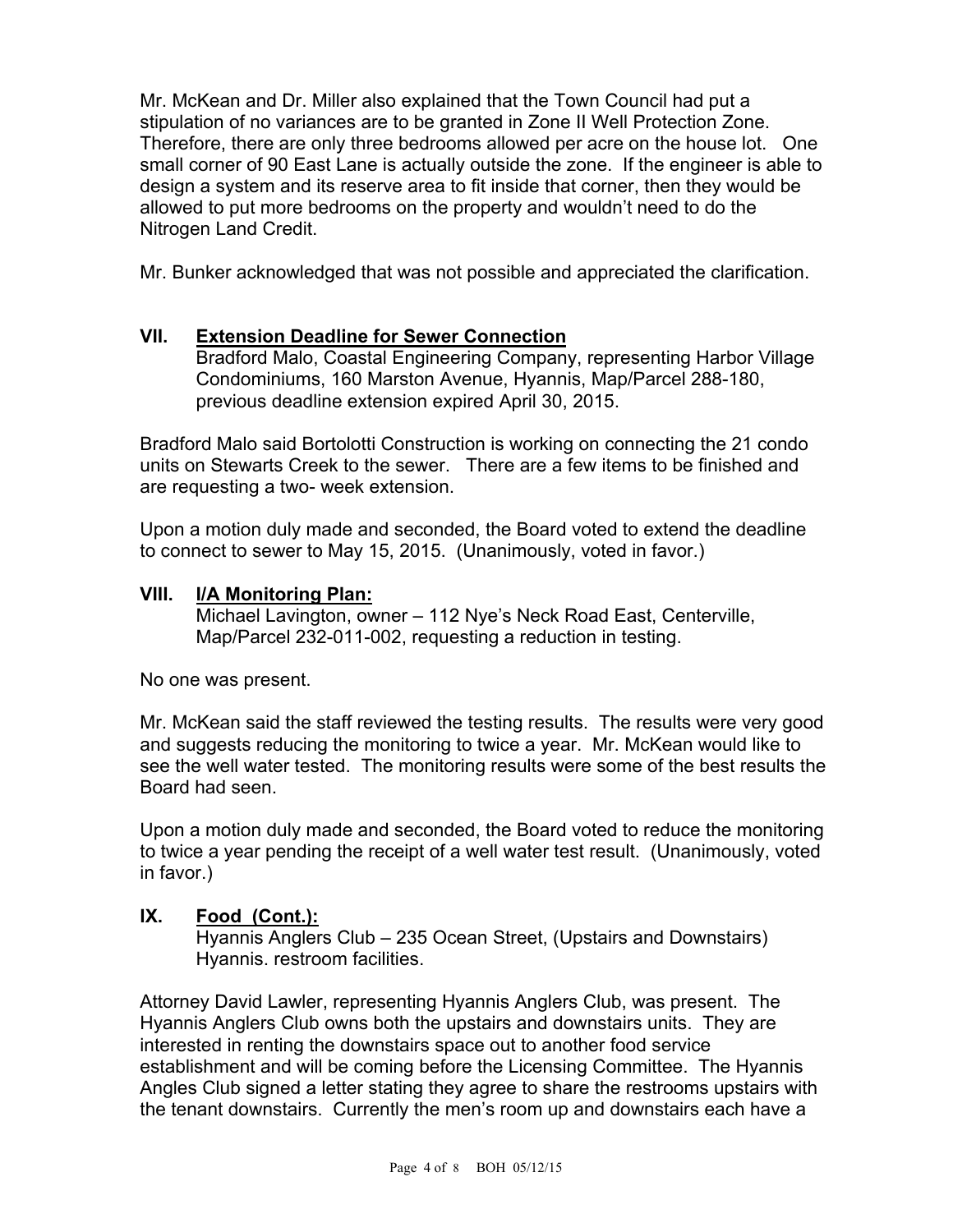Mr. McKean and Dr. Miller also explained that the Town Council had put a stipulation of no variances are to be granted in Zone II Well Protection Zone. Therefore, there are only three bedrooms allowed per acre on the house lot. One small corner of 90 East Lane is actually outside the zone. If the engineer is able to design a system and its reserve area to fit inside that corner, then they would be allowed to put more bedrooms on the property and wouldn't need to do the Nitrogen Land Credit.

Mr. Bunker acknowledged that was not possible and appreciated the clarification.

## **VII. Extension Deadline for Sewer Connection**

Bradford Malo, Coastal Engineering Company, representing Harbor Village Condominiums, 160 Marston Avenue, Hyannis, Map/Parcel 288-180, previous deadline extension expired April 30, 2015.

Bradford Malo said Bortolotti Construction is working on connecting the 21 condo units on Stewarts Creek to the sewer. There are a few items to be finished and are requesting a two- week extension.

Upon a motion duly made and seconded, the Board voted to extend the deadline to connect to sewer to May 15, 2015. (Unanimously, voted in favor.)

## **VIII. I/A Monitoring Plan:**

Michael Lavington, owner – 112 Nye's Neck Road East, Centerville, Map/Parcel 232-011-002, requesting a reduction in testing.

No one was present.

Mr. McKean said the staff reviewed the testing results. The results were very good and suggests reducing the monitoring to twice a year. Mr. McKean would like to see the well water tested. The monitoring results were some of the best results the Board had seen.

Upon a motion duly made and seconded, the Board voted to reduce the monitoring to twice a year pending the receipt of a well water test result. (Unanimously, voted in favor.)

## **IX. Food (Cont.):**

Hyannis Anglers Club – 235 Ocean Street, (Upstairs and Downstairs) Hyannis. restroom facilities.

Attorney David Lawler, representing Hyannis Anglers Club, was present. The Hyannis Anglers Club owns both the upstairs and downstairs units. They are interested in renting the downstairs space out to another food service establishment and will be coming before the Licensing Committee. The Hyannis Angles Club signed a letter stating they agree to share the restrooms upstairs with the tenant downstairs. Currently the men's room up and downstairs each have a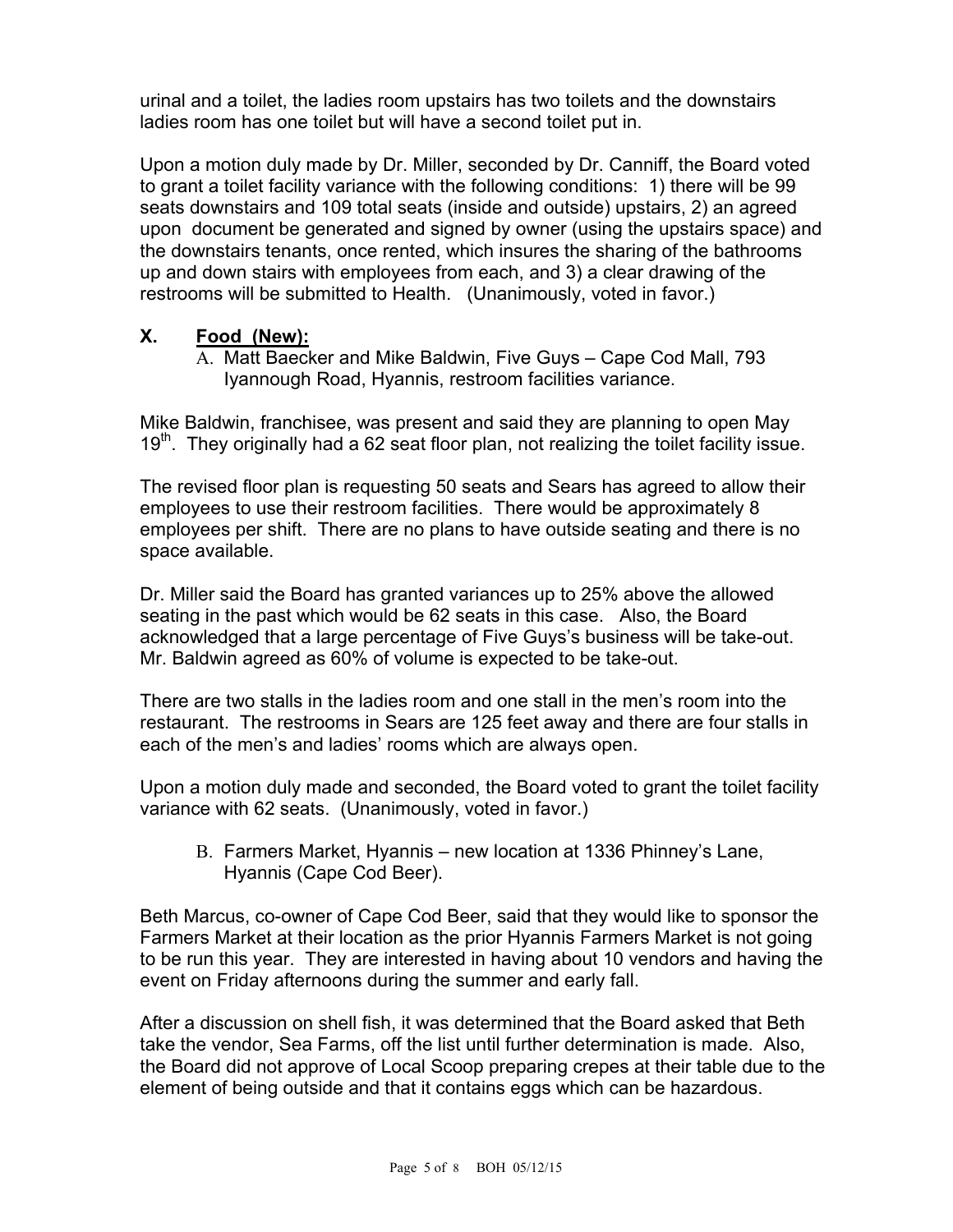urinal and a toilet, the ladies room upstairs has two toilets and the downstairs ladies room has one toilet but will have a second toilet put in.

Upon a motion duly made by Dr. Miller, seconded by Dr. Canniff, the Board voted to grant a toilet facility variance with the following conditions: 1) there will be 99 seats downstairs and 109 total seats (inside and outside) upstairs, 2) an agreed upon document be generated and signed by owner (using the upstairs space) and the downstairs tenants, once rented, which insures the sharing of the bathrooms up and down stairs with employees from each, and 3) a clear drawing of the restrooms will be submitted to Health. (Unanimously, voted in favor.)

## **X. Food (New):**

A. Matt Baecker and Mike Baldwin, Five Guys – Cape Cod Mall, 793 Iyannough Road, Hyannis, restroom facilities variance.

Mike Baldwin, franchisee, was present and said they are planning to open May  $19<sup>th</sup>$ . They originally had a 62 seat floor plan, not realizing the toilet facility issue.

The revised floor plan is requesting 50 seats and Sears has agreed to allow their employees to use their restroom facilities. There would be approximately 8 employees per shift. There are no plans to have outside seating and there is no space available.

Dr. Miller said the Board has granted variances up to 25% above the allowed seating in the past which would be 62 seats in this case. Also, the Board acknowledged that a large percentage of Five Guys's business will be take-out. Mr. Baldwin agreed as 60% of volume is expected to be take-out.

There are two stalls in the ladies room and one stall in the men's room into the restaurant. The restrooms in Sears are 125 feet away and there are four stalls in each of the men's and ladies' rooms which are always open.

Upon a motion duly made and seconded, the Board voted to grant the toilet facility variance with 62 seats. (Unanimously, voted in favor.)

B. Farmers Market, Hyannis – new location at 1336 Phinney's Lane, Hyannis (Cape Cod Beer).

Beth Marcus, co-owner of Cape Cod Beer, said that they would like to sponsor the Farmers Market at their location as the prior Hyannis Farmers Market is not going to be run this year. They are interested in having about 10 vendors and having the event on Friday afternoons during the summer and early fall.

After a discussion on shell fish, it was determined that the Board asked that Beth take the vendor, Sea Farms, off the list until further determination is made. Also, the Board did not approve of Local Scoop preparing crepes at their table due to the element of being outside and that it contains eggs which can be hazardous.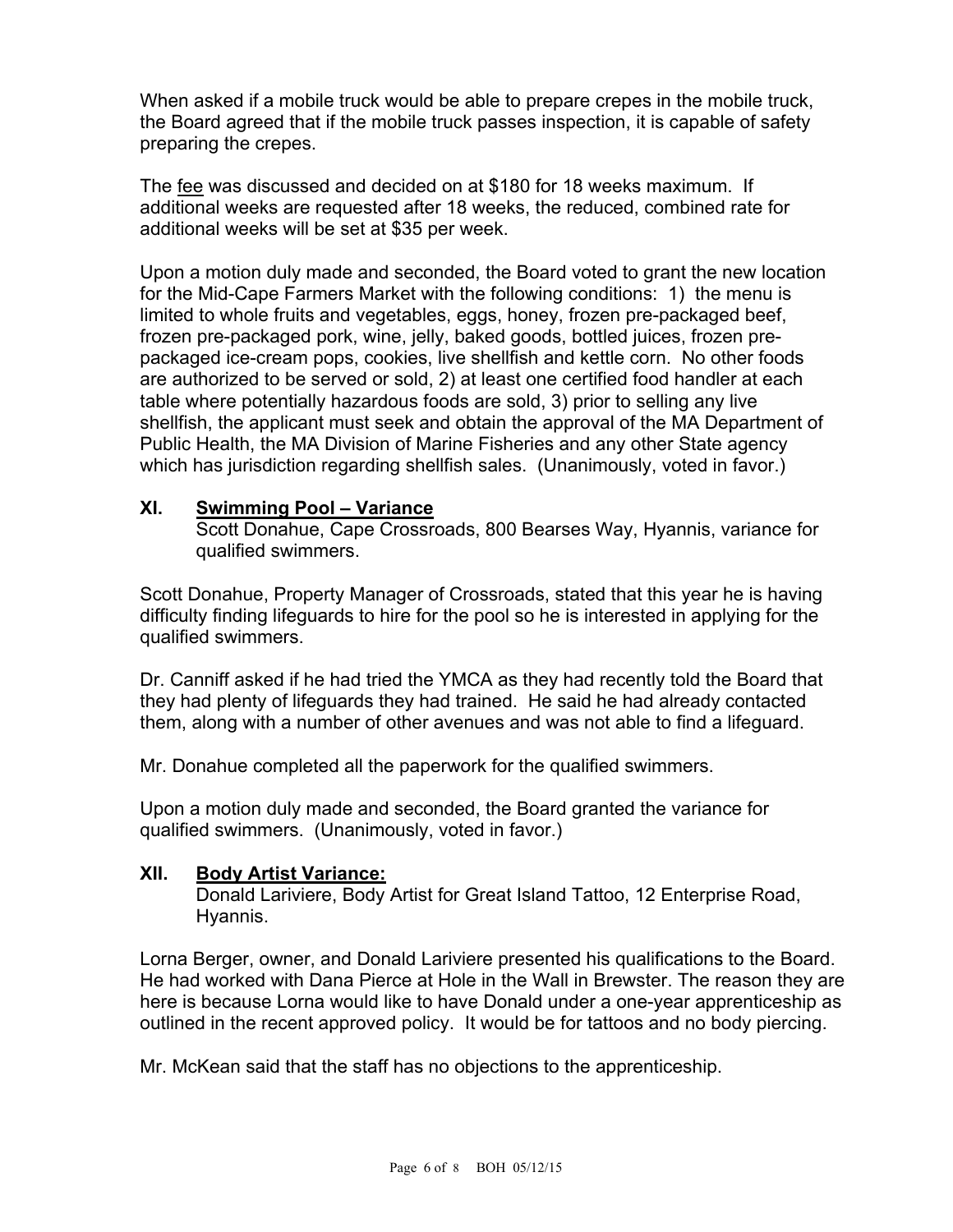When asked if a mobile truck would be able to prepare crepes in the mobile truck, the Board agreed that if the mobile truck passes inspection, it is capable of safety preparing the crepes.

The fee was discussed and decided on at \$180 for 18 weeks maximum. If additional weeks are requested after 18 weeks, the reduced, combined rate for additional weeks will be set at \$35 per week.

Upon a motion duly made and seconded, the Board voted to grant the new location for the Mid-Cape Farmers Market with the following conditions: 1) the menu is limited to whole fruits and vegetables, eggs, honey, frozen pre-packaged beef, frozen pre-packaged pork, wine, jelly, baked goods, bottled juices, frozen prepackaged ice-cream pops, cookies, live shellfish and kettle corn. No other foods are authorized to be served or sold, 2) at least one certified food handler at each table where potentially hazardous foods are sold, 3) prior to selling any live shellfish, the applicant must seek and obtain the approval of the MA Department of Public Health, the MA Division of Marine Fisheries and any other State agency which has jurisdiction regarding shellfish sales. (Unanimously, voted in favor.)

## **XI. Swimming Pool – Variance**

Scott Donahue, Cape Crossroads, 800 Bearses Way, Hyannis, variance for qualified swimmers.

Scott Donahue, Property Manager of Crossroads, stated that this year he is having difficulty finding lifeguards to hire for the pool so he is interested in applying for the qualified swimmers.

Dr. Canniff asked if he had tried the YMCA as they had recently told the Board that they had plenty of lifeguards they had trained. He said he had already contacted them, along with a number of other avenues and was not able to find a lifeguard.

Mr. Donahue completed all the paperwork for the qualified swimmers.

Upon a motion duly made and seconded, the Board granted the variance for qualified swimmers. (Unanimously, voted in favor.)

## **XII. Body Artist Variance:**

Donald Lariviere, Body Artist for Great Island Tattoo, 12 Enterprise Road, Hyannis.

Lorna Berger, owner, and Donald Lariviere presented his qualifications to the Board. He had worked with Dana Pierce at Hole in the Wall in Brewster. The reason they are here is because Lorna would like to have Donald under a one-year apprenticeship as outlined in the recent approved policy. It would be for tattoos and no body piercing.

Mr. McKean said that the staff has no objections to the apprenticeship.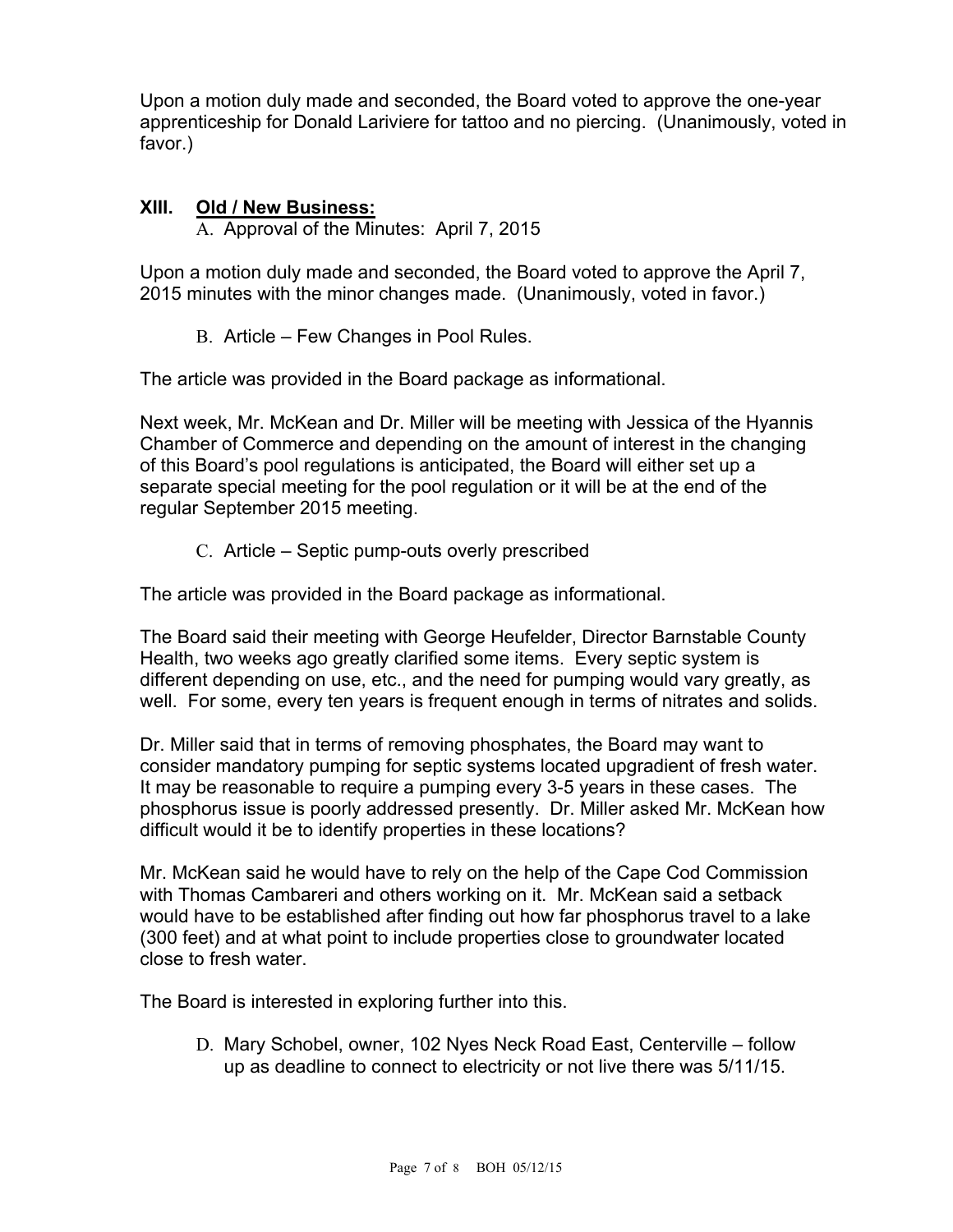Upon a motion duly made and seconded, the Board voted to approve the one-year apprenticeship for Donald Lariviere for tattoo and no piercing. (Unanimously, voted in favor.)

## **XIII. Old / New Business:**

A. Approval of the Minutes: April 7, 2015

Upon a motion duly made and seconded, the Board voted to approve the April 7, 2015 minutes with the minor changes made. (Unanimously, voted in favor.)

B. Article – Few Changes in Pool Rules.

The article was provided in the Board package as informational.

Next week, Mr. McKean and Dr. Miller will be meeting with Jessica of the Hyannis Chamber of Commerce and depending on the amount of interest in the changing of this Board's pool regulations is anticipated, the Board will either set up a separate special meeting for the pool regulation or it will be at the end of the regular September 2015 meeting.

C. Article – Septic pump-outs overly prescribed

The article was provided in the Board package as informational.

The Board said their meeting with George Heufelder, Director Barnstable County Health, two weeks ago greatly clarified some items. Every septic system is different depending on use, etc., and the need for pumping would vary greatly, as well. For some, every ten years is frequent enough in terms of nitrates and solids.

Dr. Miller said that in terms of removing phosphates, the Board may want to consider mandatory pumping for septic systems located upgradient of fresh water. It may be reasonable to require a pumping every 3-5 years in these cases. The phosphorus issue is poorly addressed presently. Dr. Miller asked Mr. McKean how difficult would it be to identify properties in these locations?

Mr. McKean said he would have to rely on the help of the Cape Cod Commission with Thomas Cambareri and others working on it. Mr. McKean said a setback would have to be established after finding out how far phosphorus travel to a lake (300 feet) and at what point to include properties close to groundwater located close to fresh water.

The Board is interested in exploring further into this.

D. Mary Schobel, owner, 102 Nyes Neck Road East, Centerville – follow up as deadline to connect to electricity or not live there was 5/11/15.